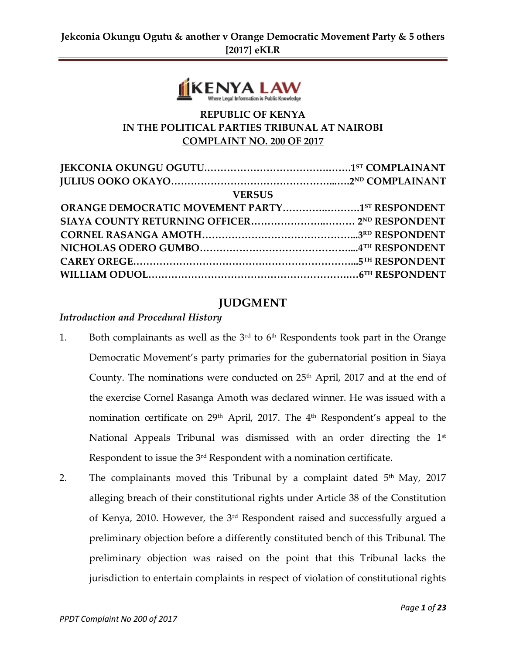

## **REPUBLIC OF KENYA IN THE POLITICAL PARTIES TRIBUNAL AT NAIROBI COMPLAINT NO. 200 OF 2017**

| <b>VERSUS</b> |  |
|---------------|--|
|               |  |
|               |  |
|               |  |
|               |  |
|               |  |
|               |  |
|               |  |

## **JUDGMENT**

#### *Introduction and Procedural History*

- 1. Both complainants as well as the  $3<sup>rd</sup>$  to  $6<sup>th</sup>$  Respondents took part in the Orange Democratic Movement's party primaries for the gubernatorial position in Siaya County. The nominations were conducted on  $25<sup>th</sup>$  April, 2017 and at the end of the exercise Cornel Rasanga Amoth was declared winner. He was issued with a nomination certificate on 29<sup>th</sup> April, 2017. The 4<sup>th</sup> Respondent's appeal to the National Appeals Tribunal was dismissed with an order directing the 1<sup>st</sup> Respondent to issue the 3rd Respondent with a nomination certificate.
- 2. The complainants moved this Tribunal by a complaint dated 5<sup>th</sup> May, 2017 alleging breach of their constitutional rights under Article 38 of the Constitution of Kenya, 2010. However, the 3rd Respondent raised and successfully argued a preliminary objection before a differently constituted bench of this Tribunal. The preliminary objection was raised on the point that this Tribunal lacks the jurisdiction to entertain complaints in respect of violation of constitutional rights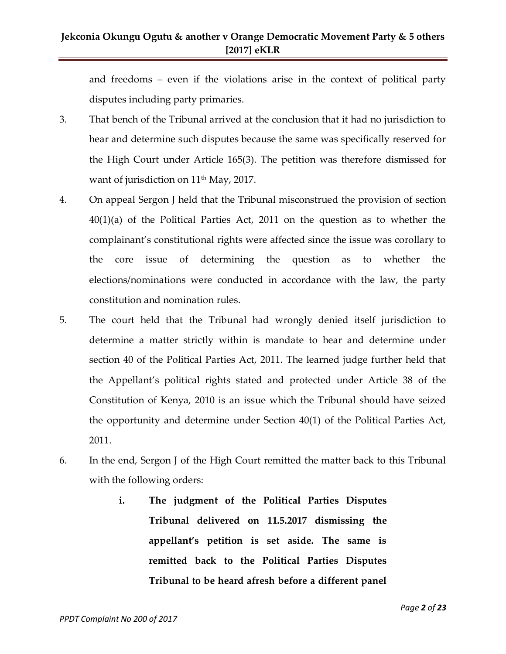and freedoms – even if the violations arise in the context of political party disputes including party primaries.

- 3. That bench of the Tribunal arrived at the conclusion that it had no jurisdiction to hear and determine such disputes because the same was specifically reserved for the High Court under Article 165(3). The petition was therefore dismissed for want of jurisdiction on 11<sup>th</sup> May, 2017.
- 4. On appeal Sergon J held that the Tribunal misconstrued the provision of section 40(1)(a) of the Political Parties Act, 2011 on the question as to whether the complainant's constitutional rights were affected since the issue was corollary to the core issue of determining the question as to whether the elections/nominations were conducted in accordance with the law, the party constitution and nomination rules.
- 5. The court held that the Tribunal had wrongly denied itself jurisdiction to determine a matter strictly within is mandate to hear and determine under section 40 of the Political Parties Act, 2011. The learned judge further held that the Appellant's political rights stated and protected under Article 38 of the Constitution of Kenya, 2010 is an issue which the Tribunal should have seized the opportunity and determine under Section 40(1) of the Political Parties Act, 2011.
- 6. In the end, Sergon J of the High Court remitted the matter back to this Tribunal with the following orders:
	- **i. The judgment of the Political Parties Disputes Tribunal delivered on 11.5.2017 dismissing the appellant's petition is set aside. The same is remitted back to the Political Parties Disputes Tribunal to be heard afresh before a different panel**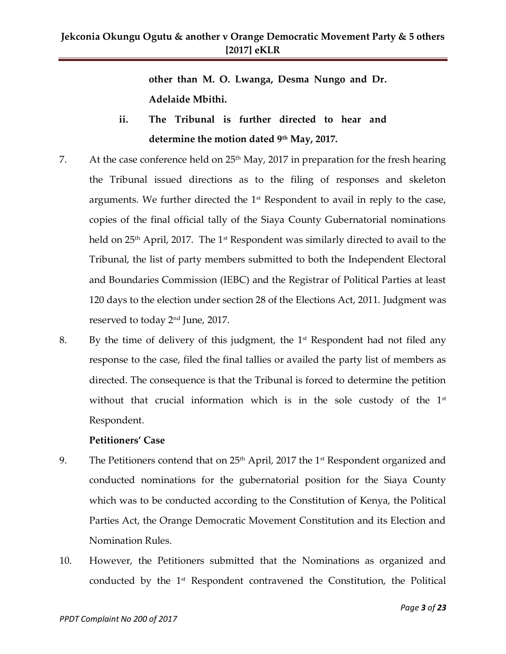**other than M. O. Lwanga, Desma Nungo and Dr. Adelaide Mbithi.**

- **ii. The Tribunal is further directed to hear and determine the motion dated 9th May, 2017.**
- 7. At the case conference held on  $25<sup>th</sup>$  May, 2017 in preparation for the fresh hearing the Tribunal issued directions as to the filing of responses and skeleton arguments. We further directed the  $1<sup>st</sup>$  Respondent to avail in reply to the case, copies of the final official tally of the Siaya County Gubernatorial nominations held on 25<sup>th</sup> April, 2017. The 1<sup>st</sup> Respondent was similarly directed to avail to the Tribunal, the list of party members submitted to both the Independent Electoral and Boundaries Commission (IEBC) and the Registrar of Political Parties at least 120 days to the election under section 28 of the Elections Act, 2011. Judgment was reserved to today 2nd June, 2017.
- 8. By the time of delivery of this judgment, the  $1<sup>st</sup>$  Respondent had not filed any response to the case, filed the final tallies or availed the party list of members as directed. The consequence is that the Tribunal is forced to determine the petition without that crucial information which is in the sole custody of the 1<sup>st</sup> Respondent.

#### **Petitioners' Case**

- 9. The Petitioners contend that on  $25<sup>th</sup>$  April, 2017 the 1<sup>st</sup> Respondent organized and conducted nominations for the gubernatorial position for the Siaya County which was to be conducted according to the Constitution of Kenya, the Political Parties Act, the Orange Democratic Movement Constitution and its Election and Nomination Rules.
- 10. However, the Petitioners submitted that the Nominations as organized and conducted by the  $1<sup>st</sup>$  Respondent contravened the Constitution, the Political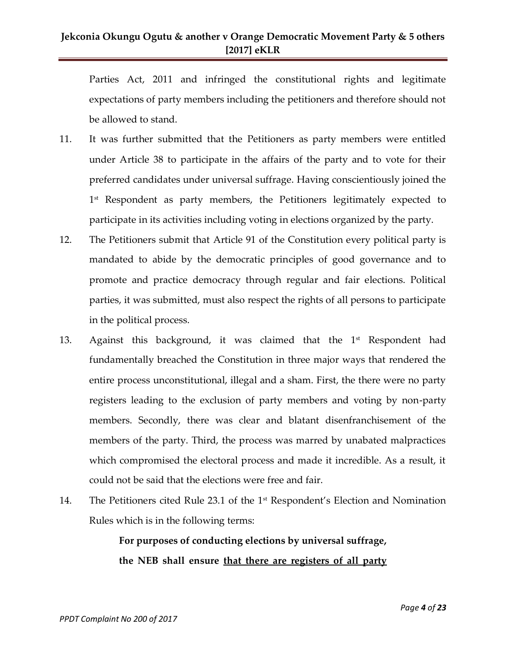Parties Act, 2011 and infringed the constitutional rights and legitimate expectations of party members including the petitioners and therefore should not be allowed to stand.

- 11. It was further submitted that the Petitioners as party members were entitled under Article 38 to participate in the affairs of the party and to vote for their preferred candidates under universal suffrage. Having conscientiously joined the 1 st Respondent as party members, the Petitioners legitimately expected to participate in its activities including voting in elections organized by the party.
- 12. The Petitioners submit that Article 91 of the Constitution every political party is mandated to abide by the democratic principles of good governance and to promote and practice democracy through regular and fair elections. Political parties, it was submitted, must also respect the rights of all persons to participate in the political process.
- 13. Against this background, it was claimed that the 1<sup>st</sup> Respondent had fundamentally breached the Constitution in three major ways that rendered the entire process unconstitutional, illegal and a sham. First, the there were no party registers leading to the exclusion of party members and voting by non-party members. Secondly, there was clear and blatant disenfranchisement of the members of the party. Third, the process was marred by unabated malpractices which compromised the electoral process and made it incredible. As a result, it could not be said that the elections were free and fair.
- 14. The Petitioners cited Rule 23.1 of the 1st Respondent's Election and Nomination Rules which is in the following terms:

## **For purposes of conducting elections by universal suffrage, the NEB shall ensure that there are registers of all party**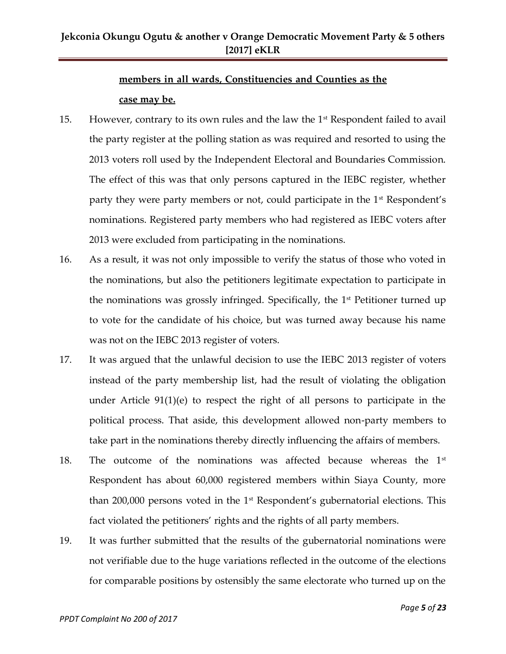## **members in all wards, Constituencies and Counties as the case may be.**

- 15. However, contrary to its own rules and the law the 1st Respondent failed to avail the party register at the polling station as was required and resorted to using the 2013 voters roll used by the Independent Electoral and Boundaries Commission. The effect of this was that only persons captured in the IEBC register, whether party they were party members or not, could participate in the 1<sup>st</sup> Respondent's nominations. Registered party members who had registered as IEBC voters after 2013 were excluded from participating in the nominations.
- 16. As a result, it was not only impossible to verify the status of those who voted in the nominations, but also the petitioners legitimate expectation to participate in the nominations was grossly infringed. Specifically, the  $1<sup>st</sup>$  Petitioner turned up to vote for the candidate of his choice, but was turned away because his name was not on the IEBC 2013 register of voters.
- 17. It was argued that the unlawful decision to use the IEBC 2013 register of voters instead of the party membership list, had the result of violating the obligation under Article 91(1)(e) to respect the right of all persons to participate in the political process. That aside, this development allowed non-party members to take part in the nominations thereby directly influencing the affairs of members.
- 18. The outcome of the nominations was affected because whereas the 1<sup>st</sup> Respondent has about 60,000 registered members within Siaya County, more than 200,000 persons voted in the 1st Respondent's gubernatorial elections. This fact violated the petitioners' rights and the rights of all party members.
- 19. It was further submitted that the results of the gubernatorial nominations were not verifiable due to the huge variations reflected in the outcome of the elections for comparable positions by ostensibly the same electorate who turned up on the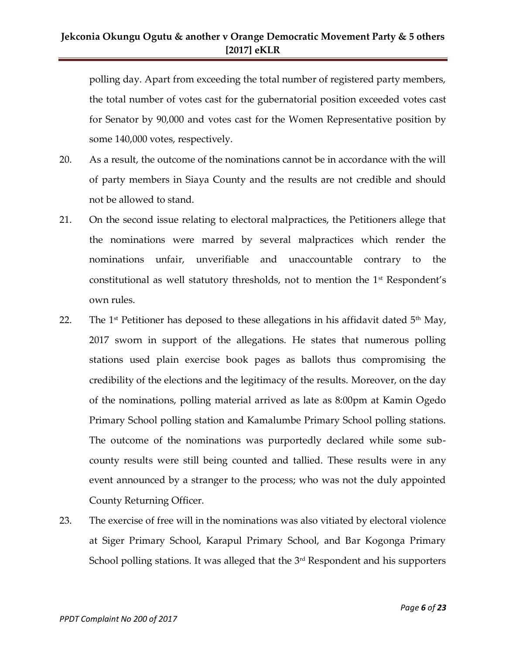polling day. Apart from exceeding the total number of registered party members, the total number of votes cast for the gubernatorial position exceeded votes cast for Senator by 90,000 and votes cast for the Women Representative position by some 140,000 votes, respectively.

- 20. As a result, the outcome of the nominations cannot be in accordance with the will of party members in Siaya County and the results are not credible and should not be allowed to stand.
- 21. On the second issue relating to electoral malpractices, the Petitioners allege that the nominations were marred by several malpractices which render the nominations unfair, unverifiable and unaccountable contrary to the constitutional as well statutory thresholds, not to mention the 1st Respondent's own rules.
- 22. The 1<sup>st</sup> Petitioner has deposed to these allegations in his affidavit dated  $5<sup>th</sup>$  May, 2017 sworn in support of the allegations. He states that numerous polling stations used plain exercise book pages as ballots thus compromising the credibility of the elections and the legitimacy of the results. Moreover, on the day of the nominations, polling material arrived as late as 8:00pm at Kamin Ogedo Primary School polling station and Kamalumbe Primary School polling stations. The outcome of the nominations was purportedly declared while some subcounty results were still being counted and tallied. These results were in any event announced by a stranger to the process; who was not the duly appointed County Returning Officer.
- 23. The exercise of free will in the nominations was also vitiated by electoral violence at Siger Primary School, Karapul Primary School, and Bar Kogonga Primary School polling stations. It was alleged that the  $3<sup>rd</sup>$  Respondent and his supporters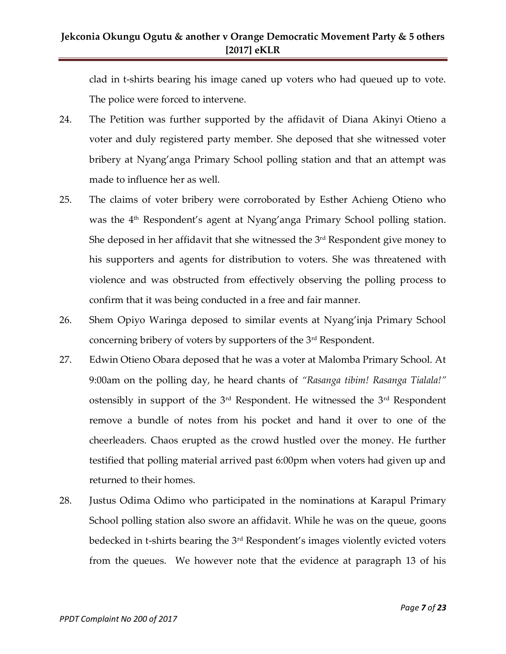clad in t-shirts bearing his image caned up voters who had queued up to vote. The police were forced to intervene.

- 24. The Petition was further supported by the affidavit of Diana Akinyi Otieno a voter and duly registered party member. She deposed that she witnessed voter bribery at Nyang'anga Primary School polling station and that an attempt was made to influence her as well.
- 25. The claims of voter bribery were corroborated by Esther Achieng Otieno who was the 4<sup>th</sup> Respondent's agent at Nyang'anga Primary School polling station. She deposed in her affidavit that she witnessed the 3<sup>rd</sup> Respondent give money to his supporters and agents for distribution to voters. She was threatened with violence and was obstructed from effectively observing the polling process to confirm that it was being conducted in a free and fair manner.
- 26. Shem Opiyo Waringa deposed to similar events at Nyang'inja Primary School concerning bribery of voters by supporters of the 3rd Respondent.
- 27. Edwin Otieno Obara deposed that he was a voter at Malomba Primary School. At 9:00am on the polling day, he heard chants of *"Rasanga tibim! Rasanga Tialala!"*  ostensibly in support of the 3<sup>rd</sup> Respondent. He witnessed the 3<sup>rd</sup> Respondent remove a bundle of notes from his pocket and hand it over to one of the cheerleaders. Chaos erupted as the crowd hustled over the money. He further testified that polling material arrived past 6:00pm when voters had given up and returned to their homes.
- 28. Justus Odima Odimo who participated in the nominations at Karapul Primary School polling station also swore an affidavit. While he was on the queue, goons bedecked in t-shirts bearing the 3rd Respondent's images violently evicted voters from the queues. We however note that the evidence at paragraph 13 of his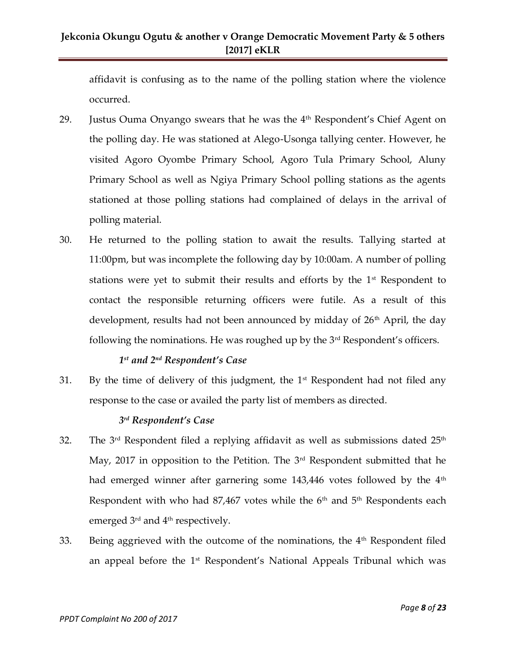affidavit is confusing as to the name of the polling station where the violence occurred.

- 29. Justus Ouma Onyango swears that he was the  $4<sup>th</sup>$  Respondent's Chief Agent on the polling day. He was stationed at Alego-Usonga tallying center. However, he visited Agoro Oyombe Primary School, Agoro Tula Primary School, Aluny Primary School as well as Ngiya Primary School polling stations as the agents stationed at those polling stations had complained of delays in the arrival of polling material.
- 30. He returned to the polling station to await the results. Tallying started at 11:00pm, but was incomplete the following day by 10:00am. A number of polling stations were yet to submit their results and efforts by the  $1<sup>st</sup>$  Respondent to contact the responsible returning officers were futile. As a result of this development, results had not been announced by midday of  $26<sup>th</sup>$  April, the day following the nominations. He was roughed up by the  $3<sup>rd</sup>$  Respondent's officers.

#### *1 st and 2nd Respondent's Case*

31. By the time of delivery of this judgment, the  $1<sup>st</sup>$  Respondent had not filed any response to the case or availed the party list of members as directed.

#### *3 rd Respondent's Case*

- 32. The  $3<sup>rd</sup>$  Respondent filed a replying affidavit as well as submissions dated  $25<sup>th</sup>$ May, 2017 in opposition to the Petition. The  $3<sup>rd</sup>$  Respondent submitted that he had emerged winner after garnering some 143,446 votes followed by the 4<sup>th</sup> Respondent with who had  $87,467$  votes while the  $6<sup>th</sup>$  and  $5<sup>th</sup>$  Respondents each emerged 3<sup>rd</sup> and 4<sup>th</sup> respectively.
- 33. Being aggrieved with the outcome of the nominations, the 4<sup>th</sup> Respondent filed an appeal before the 1<sup>st</sup> Respondent's National Appeals Tribunal which was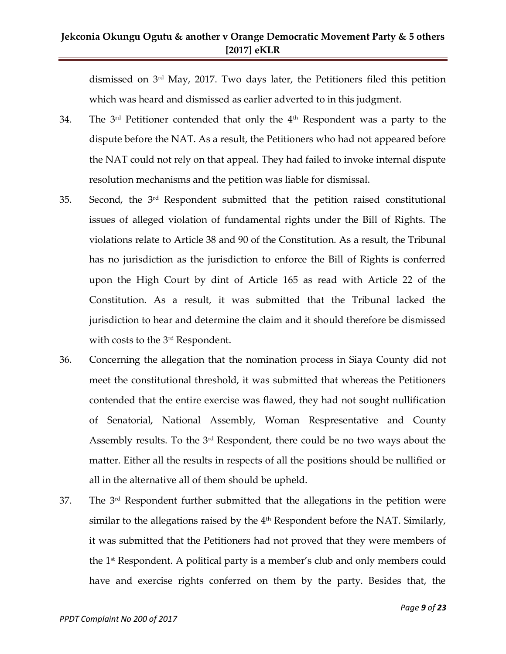dismissed on 3rd May, 2017. Two days later, the Petitioners filed this petition which was heard and dismissed as earlier adverted to in this judgment.

- 34. The  $3<sup>rd</sup>$  Petitioner contended that only the  $4<sup>th</sup>$  Respondent was a party to the dispute before the NAT. As a result, the Petitioners who had not appeared before the NAT could not rely on that appeal. They had failed to invoke internal dispute resolution mechanisms and the petition was liable for dismissal.
- 35. Second, the 3rd Respondent submitted that the petition raised constitutional issues of alleged violation of fundamental rights under the Bill of Rights. The violations relate to Article 38 and 90 of the Constitution. As a result, the Tribunal has no jurisdiction as the jurisdiction to enforce the Bill of Rights is conferred upon the High Court by dint of Article 165 as read with Article 22 of the Constitution. As a result, it was submitted that the Tribunal lacked the jurisdiction to hear and determine the claim and it should therefore be dismissed with costs to the 3rd Respondent.
- 36. Concerning the allegation that the nomination process in Siaya County did not meet the constitutional threshold, it was submitted that whereas the Petitioners contended that the entire exercise was flawed, they had not sought nullification of Senatorial, National Assembly, Woman Respresentative and County Assembly results. To the 3rd Respondent, there could be no two ways about the matter. Either all the results in respects of all the positions should be nullified or all in the alternative all of them should be upheld.
- $37.$  The  $3<sup>rd</sup>$  Respondent further submitted that the allegations in the petition were similar to the allegations raised by the  $4<sup>th</sup>$  Respondent before the NAT. Similarly, it was submitted that the Petitioners had not proved that they were members of the 1st Respondent. A political party is a member's club and only members could have and exercise rights conferred on them by the party. Besides that, the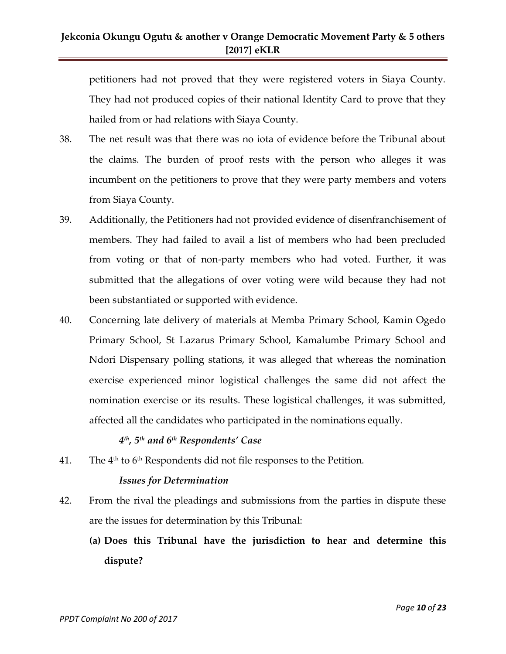petitioners had not proved that they were registered voters in Siaya County. They had not produced copies of their national Identity Card to prove that they hailed from or had relations with Siaya County.

- 38. The net result was that there was no iota of evidence before the Tribunal about the claims. The burden of proof rests with the person who alleges it was incumbent on the petitioners to prove that they were party members and voters from Siaya County.
- 39. Additionally, the Petitioners had not provided evidence of disenfranchisement of members. They had failed to avail a list of members who had been precluded from voting or that of non-party members who had voted. Further, it was submitted that the allegations of over voting were wild because they had not been substantiated or supported with evidence.
- 40. Concerning late delivery of materials at Memba Primary School, Kamin Ogedo Primary School, St Lazarus Primary School, Kamalumbe Primary School and Ndori Dispensary polling stations, it was alleged that whereas the nomination exercise experienced minor logistical challenges the same did not affect the nomination exercise or its results. These logistical challenges, it was submitted, affected all the candidates who participated in the nominations equally.

### *4 th, 5th and 6th Respondents' Case*

41. The  $4<sup>th</sup>$  to  $6<sup>th</sup>$  Respondents did not file responses to the Petition.

#### *Issues for Determination*

- 42. From the rival the pleadings and submissions from the parties in dispute these are the issues for determination by this Tribunal:
	- **(a) Does this Tribunal have the jurisdiction to hear and determine this dispute?**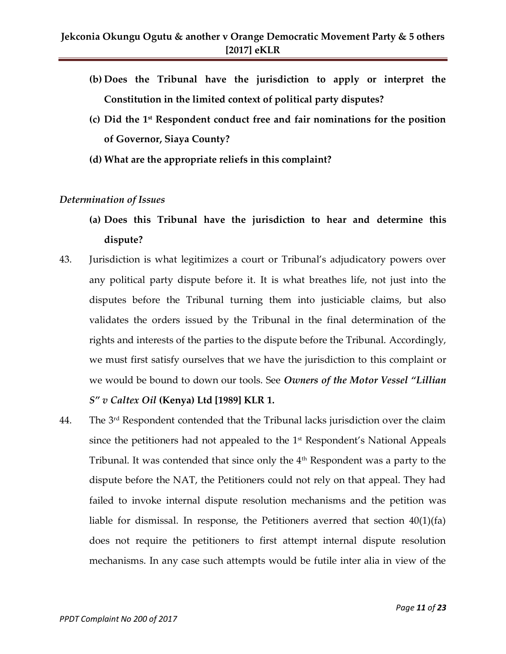- **(b) Does the Tribunal have the jurisdiction to apply or interpret the Constitution in the limited context of political party disputes?**
- **(c) Did the 1st Respondent conduct free and fair nominations for the position of Governor, Siaya County?**
- **(d) What are the appropriate reliefs in this complaint?**

#### *Determination of Issues*

- **(a) Does this Tribunal have the jurisdiction to hear and determine this dispute?**
- 43. Jurisdiction is what legitimizes a court or Tribunal's adjudicatory powers over any political party dispute before it. It is what breathes life, not just into the disputes before the Tribunal turning them into justiciable claims, but also validates the orders issued by the Tribunal in the final determination of the rights and interests of the parties to the dispute before the Tribunal. Accordingly, we must first satisfy ourselves that we have the jurisdiction to this complaint or we would be bound to down our tools. See *Owners of the Motor Vessel "Lillian S" v Caltex Oil* **(Kenya) Ltd [1989] KLR 1.**
- 44. The  $3<sup>rd</sup>$  Respondent contended that the Tribunal lacks jurisdiction over the claim since the petitioners had not appealed to the  $1<sup>st</sup>$  Respondent's National Appeals Tribunal. It was contended that since only the 4<sup>th</sup> Respondent was a party to the dispute before the NAT, the Petitioners could not rely on that appeal. They had failed to invoke internal dispute resolution mechanisms and the petition was liable for dismissal. In response, the Petitioners averred that section 40(1)(fa) does not require the petitioners to first attempt internal dispute resolution mechanisms. In any case such attempts would be futile inter alia in view of the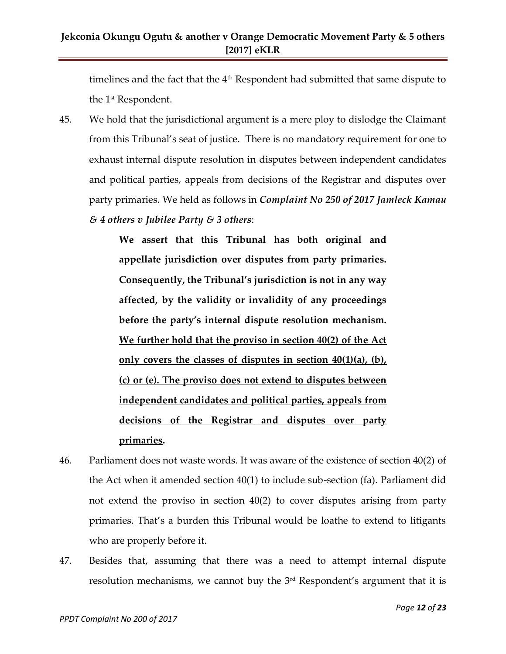timelines and the fact that the 4<sup>th</sup> Respondent had submitted that same dispute to the 1 st Respondent.

45. We hold that the jurisdictional argument is a mere ploy to dislodge the Claimant from this Tribunal's seat of justice. There is no mandatory requirement for one to exhaust internal dispute resolution in disputes between independent candidates and political parties, appeals from decisions of the Registrar and disputes over party primaries. We held as follows in *Complaint No 250 of 2017 Jamleck Kamau & 4 others v Jubilee Party & 3 others*:

> **We assert that this Tribunal has both original and appellate jurisdiction over disputes from party primaries. Consequently, the Tribunal's jurisdiction is not in any way affected, by the validity or invalidity of any proceedings before the party's internal dispute resolution mechanism. We further hold that the proviso in section 40(2) of the Act only covers the classes of disputes in section 40(1)(a), (b), (c) or (e). The proviso does not extend to disputes between independent candidates and political parties, appeals from decisions of the Registrar and disputes over party primaries.**

- 46. Parliament does not waste words. It was aware of the existence of section 40(2) of the Act when it amended section 40(1) to include sub-section (fa). Parliament did not extend the proviso in section 40(2) to cover disputes arising from party primaries. That's a burden this Tribunal would be loathe to extend to litigants who are properly before it.
- 47. Besides that, assuming that there was a need to attempt internal dispute resolution mechanisms, we cannot buy the  $3<sup>rd</sup>$  Respondent's argument that it is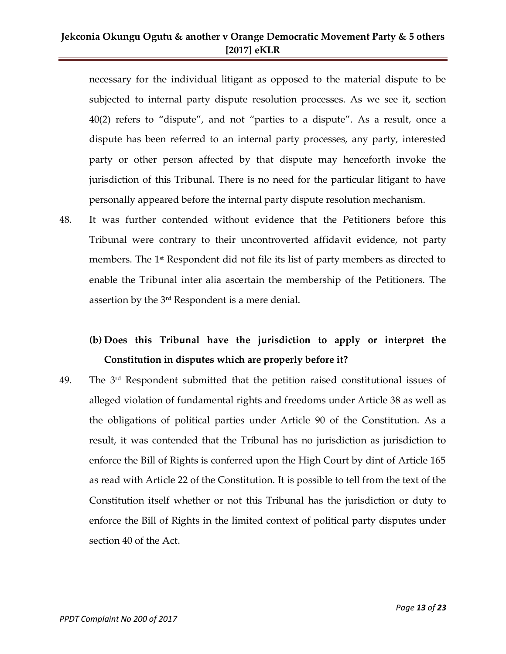necessary for the individual litigant as opposed to the material dispute to be subjected to internal party dispute resolution processes. As we see it, section 40(2) refers to 'dispute', and not 'parties to a dispute'. As a result, once a dispute has been referred to an internal party processes, any party, interested party or other person affected by that dispute may henceforth invoke the jurisdiction of this Tribunal. There is no need for the particular litigant to have personally appeared before the internal party dispute resolution mechanism.

48. It was further contended without evidence that the Petitioners before this Tribunal were contrary to their uncontroverted affidavit evidence, not party members. The 1<sup>st</sup> Respondent did not file its list of party members as directed to enable the Tribunal inter alia ascertain the membership of the Petitioners. The assertion by the 3rd Respondent is a mere denial.

## **(b) Does this Tribunal have the jurisdiction to apply or interpret the Constitution in disputes which are properly before it?**

49. The 3rd Respondent submitted that the petition raised constitutional issues of alleged violation of fundamental rights and freedoms under Article 38 as well as the obligations of political parties under Article 90 of the Constitution. As a result, it was contended that the Tribunal has no jurisdiction as jurisdiction to enforce the Bill of Rights is conferred upon the High Court by dint of Article 165 as read with Article 22 of the Constitution. It is possible to tell from the text of the Constitution itself whether or not this Tribunal has the jurisdiction or duty to enforce the Bill of Rights in the limited context of political party disputes under section 40 of the Act.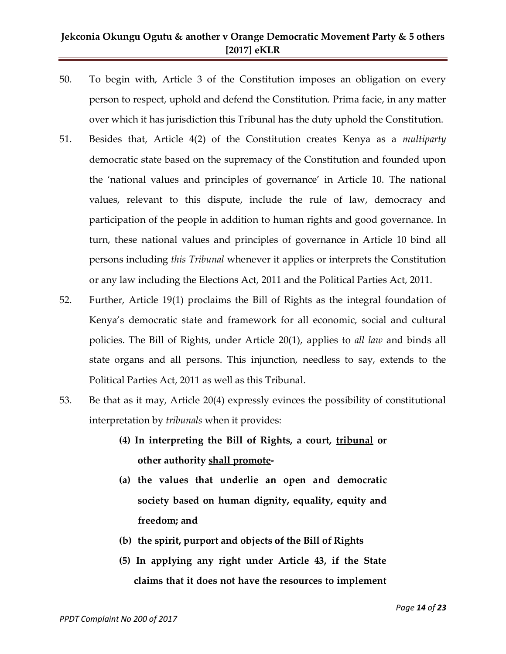- 50. To begin with, Article 3 of the Constitution imposes an obligation on every person to respect, uphold and defend the Constitution. Prima facie, in any matter over which it has jurisdiction this Tribunal has the duty uphold the Constitution.
- 51. Besides that, Article 4(2) of the Constitution creates Kenya as a *multiparty* democratic state based on the supremacy of the Constitution and founded upon the 'national values and principles of governance' in Article 10. The national values, relevant to this dispute, include the rule of law, democracy and participation of the people in addition to human rights and good governance. In turn, these national values and principles of governance in Article 10 bind all persons including *this Tribunal* whenever it applies or interprets the Constitution or any law including the Elections Act, 2011 and the Political Parties Act, 2011.
- 52. Further, Article 19(1) proclaims the Bill of Rights as the integral foundation of Kenya's democratic state and framework for all economic, social and cultural policies. The Bill of Rights, under Article 20(1), applies to *all law* and binds all state organs and all persons. This injunction, needless to say, extends to the Political Parties Act, 2011 as well as this Tribunal.
- 53. Be that as it may, Article 20(4) expressly evinces the possibility of constitutional interpretation by *tribunals* when it provides:
	- **(4) In interpreting the Bill of Rights, a court, tribunal or other authority shall promote-**
	- **(a) the values that underlie an open and democratic society based on human dignity, equality, equity and freedom; and**
	- **(b) the spirit, purport and objects of the Bill of Rights**
	- **(5) In applying any right under Article 43, if the State claims that it does not have the resources to implement**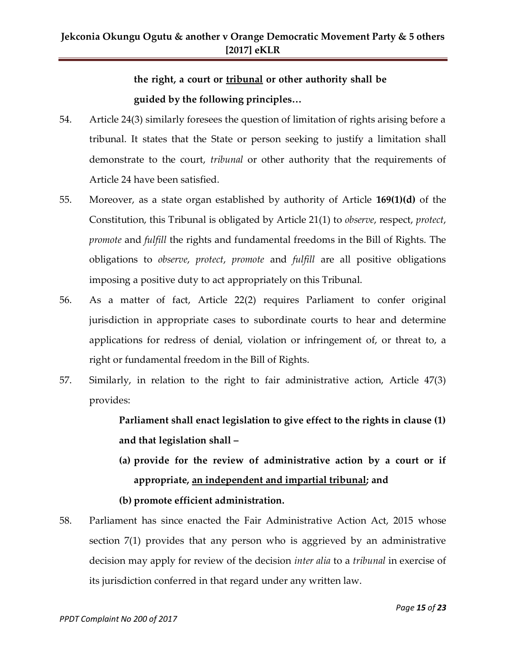# **the right, a court or tribunal or other authority shall be guided by the following principles…**

- 54. Article 24(3) similarly foresees the question of limitation of rights arising before a tribunal. It states that the State or person seeking to justify a limitation shall demonstrate to the court, *tribunal* or other authority that the requirements of Article 24 have been satisfied.
- 55. Moreover, as a state organ established by authority of Article **169(1)(d)** of the Constitution, this Tribunal is obligated by Article 21(1) to *observe*, respect, *protect*, *promote* and *fulfill* the rights and fundamental freedoms in the Bill of Rights. The obligations to *observe*, *protect*, *promote* and *fulfill* are all positive obligations imposing a positive duty to act appropriately on this Tribunal.
- 56. As a matter of fact, Article 22(2) requires Parliament to confer original jurisdiction in appropriate cases to subordinate courts to hear and determine applications for redress of denial, violation or infringement of, or threat to, a right or fundamental freedom in the Bill of Rights.
- 57. Similarly, in relation to the right to fair administrative action, Article 47(3) provides:

**Parliament shall enact legislation to give effect to the rights in clause (1) and that legislation shall –**

**(a) provide for the review of administrative action by a court or if appropriate, an independent and impartial tribunal; and**

**(b) promote efficient administration.**

58. Parliament has since enacted the Fair Administrative Action Act, 2015 whose section 7(1) provides that any person who is aggrieved by an administrative decision may apply for review of the decision *inter alia* to a *tribunal* in exercise of its jurisdiction conferred in that regard under any written law.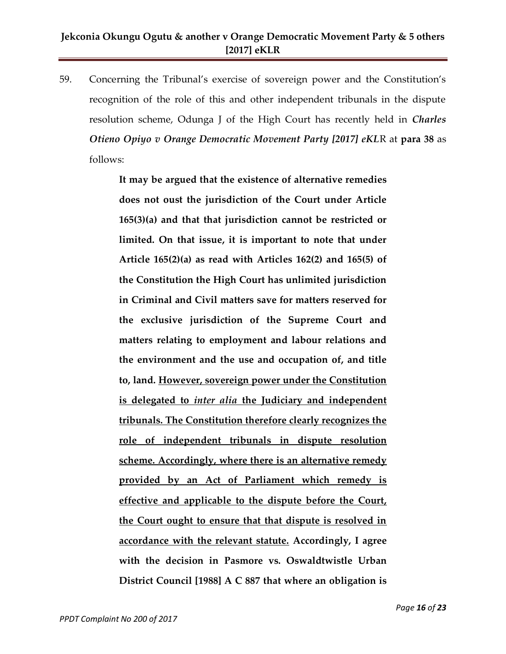59. Concerning the Tribunal's exercise of sovereign power and the Constitution's recognition of the role of this and other independent tribunals in the dispute resolution scheme, Odunga J of the High Court has recently held in *Charles Otieno Opiyo v Orange Democratic Movement Party [2017] eKL*R at **para 38** as follows:

> **It may be argued that the existence of alternative remedies does not oust the jurisdiction of the Court under Article 165(3)(a) and that that jurisdiction cannot be restricted or limited. On that issue, it is important to note that under Article 165(2)(a) as read with Articles 162(2) and 165(5) of the Constitution the High Court has unlimited jurisdiction in Criminal and Civil matters save for matters reserved for the exclusive jurisdiction of the Supreme Court and matters relating to employment and labour relations and the environment and the use and occupation of, and title to, land. However, sovereign power under the Constitution is delegated to** *inter alia* **the Judiciary and independent tribunals. The Constitution therefore clearly recognizes the role of independent tribunals in dispute resolution scheme. Accordingly, where there is an alternative remedy provided by an Act of Parliament which remedy is effective and applicable to the dispute before the Court, the Court ought to ensure that that dispute is resolved in accordance with the relevant statute. Accordingly, I agree with the decision in Pasmore vs. Oswaldtwistle Urban District Council [1988] A C 887 that where an obligation is**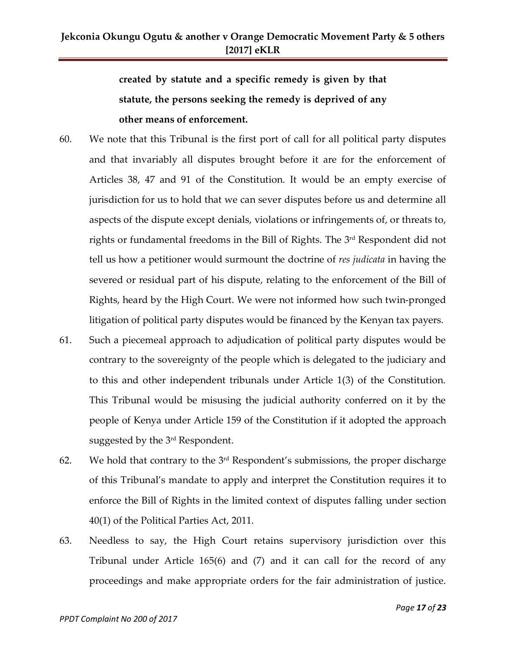**created by statute and a specific remedy is given by that statute, the persons seeking the remedy is deprived of any other means of enforcement.**

- 60. We note that this Tribunal is the first port of call for all political party disputes and that invariably all disputes brought before it are for the enforcement of Articles 38, 47 and 91 of the Constitution. It would be an empty exercise of jurisdiction for us to hold that we can sever disputes before us and determine all aspects of the dispute except denials, violations or infringements of, or threats to, rights or fundamental freedoms in the Bill of Rights. The 3<sup>rd</sup> Respondent did not tell us how a petitioner would surmount the doctrine of *res judicata* in having the severed or residual part of his dispute, relating to the enforcement of the Bill of Rights, heard by the High Court. We were not informed how such twin-pronged litigation of political party disputes would be financed by the Kenyan tax payers.
- 61. Such a piecemeal approach to adjudication of political party disputes would be contrary to the sovereignty of the people which is delegated to the judiciary and to this and other independent tribunals under Article 1(3) of the Constitution. This Tribunal would be misusing the judicial authority conferred on it by the people of Kenya under Article 159 of the Constitution if it adopted the approach suggested by the 3¤d Respondent.
- 62. We hold that contrary to the  $3<sup>rd</sup>$  Respondent's submissions, the proper discharge of this Tribunal's mandate to apply and interpret the Constitution requires it to enforce the Bill of Rights in the limited context of disputes falling under section 40(1) of the Political Parties Act, 2011.
- 63. Needless to say, the High Court retains supervisory jurisdiction over this Tribunal under Article 165(6) and (7) and it can call for the record of any proceedings and make appropriate orders for the fair administration of justice.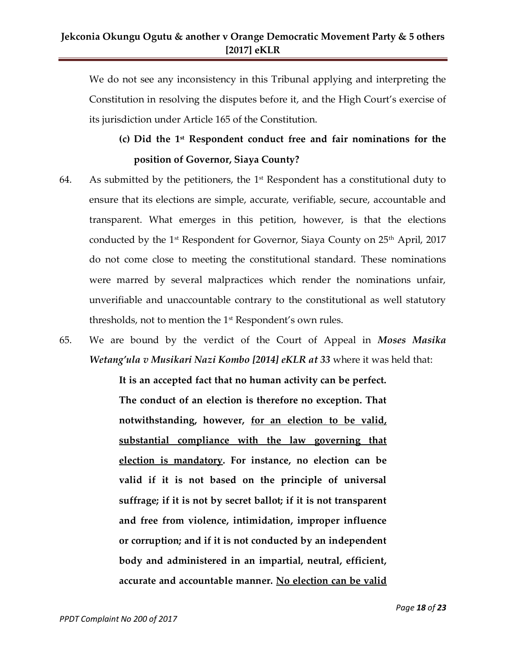We do not see any inconsistency in this Tribunal applying and interpreting the Constitution in resolving the disputes before it, and the High Court's exercise of its jurisdiction under Article 165 of the Constitution.

## **(c) Did the 1st Respondent conduct free and fair nominations for the position of Governor, Siaya County?**

- 64. As submitted by the petitioners, the  $1<sup>st</sup>$  Respondent has a constitutional duty to ensure that its elections are simple, accurate, verifiable, secure, accountable and transparent. What emerges in this petition, however, is that the elections conducted by the  $1<sup>st</sup>$  Respondent for Governor, Siaya County on  $25<sup>th</sup>$  April, 2017 do not come close to meeting the constitutional standard. These nominations were marred by several malpractices which render the nominations unfair, unverifiable and unaccountable contrary to the constitutional as well statutory thresholds, not to mention the 1<sup>st</sup> Respondent's own rules.
- 65. We are bound by the verdict of the Court of Appeal in *Moses Masika Wetang'ula v Musikari Nazi Kombo [2014] eKLR at 33* where it was held that:

**It is an accepted fact that no human activity can be perfect. The conduct of an election is therefore no exception. That notwithstanding, however, for an election to be valid, substantial compliance with the law governing that election is mandatory. For instance, no election can be valid if it is not based on the principle of universal suffrage; if it is not by secret ballot; if it is not transparent and free from violence, intimidation, improper influence or corruption; and if it is not conducted by an independent body and administered in an impartial, neutral, efficient, accurate and accountable manner. No election can be valid**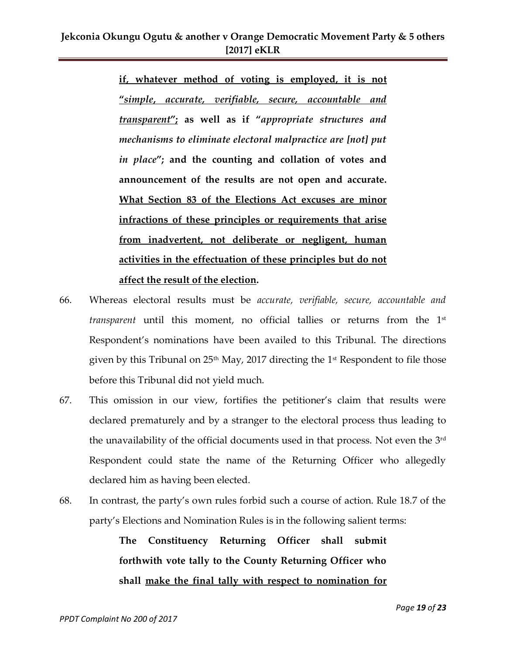**if, whatever method of voting is employed, it is not "***simple***,** *accurate, verifiable, secure, accountable and transparent***"; as well as if "***appropriate structures and mechanisms to eliminate electoral malpractice are [not] put in place***"; and the counting and collation of votes and announcement of the results are not open and accurate. What Section 83 of the Elections Act excuses are minor infractions of these principles or requirements that arise from inadvertent, not deliberate or negligent, human activities in the effectuation of these principles but do not affect the result of the election.**

- 66. Whereas electoral results must be *accurate, verifiable, secure, accountable and transparent* until this moment, no official tallies or returns from the 1<sup>st</sup> Respondent's nominations have been availed to this Tribunal. The directions given by this Tribunal on  $25<sup>th</sup>$  May, 2017 directing the 1<sup>st</sup> Respondent to file those before this Tribunal did not yield much.
- 67. This omission in our view, fortifies the petitioner's claim that results were declared prematurely and by a stranger to the electoral process thus leading to the unavailability of the official documents used in that process. Not even the 3<sup>rd</sup> Respondent could state the name of the Returning Officer who allegedly declared him as having been elected.
- 68. In contrast, the party's own rules forbid such a course of action. Rule 18.7 of the party's Elections and Nomination Rules is in the following salient terms:

**The Constituency Returning Officer shall submit forthwith vote tally to the County Returning Officer who shall make the final tally with respect to nomination for**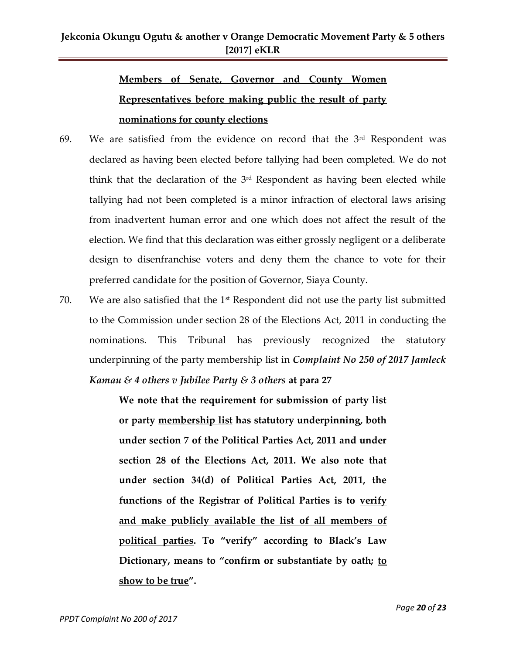# **Members of Senate, Governor and County Women Representatives before making public the result of party nominations for county elections**

- 69. We are satisfied from the evidence on record that the  $3<sup>rd</sup>$  Respondent was declared as having been elected before tallying had been completed. We do not think that the declaration of the 3<sup>rd</sup> Respondent as having been elected while tallying had not been completed is a minor infraction of electoral laws arising from inadvertent human error and one which does not affect the result of the election. We find that this declaration was either grossly negligent or a deliberate design to disenfranchise voters and deny them the chance to vote for their preferred candidate for the position of Governor, Siaya County.
- 70. We are also satisfied that the  $1<sup>st</sup>$  Respondent did not use the party list submitted to the Commission under section 28 of the Elections Act, 2011 in conducting the nominations. This Tribunal has previously recognized the statutory underpinning of the party membership list in *Complaint No 250 of 2017 Jamleck Kamau & 4 others v Jubilee Party & 3 others* **at para 27**

**We note that the requirement for submission of party list or party membership list has statutory underpinning, both under section 7 of the Political Parties Act, 2011 and under section 28 of the Elections Act, 2011. We also note that under section 34(d) of Political Parties Act, 2011, the functions of the Registrar of Political Parties is to verify and make publicly available the list of all members of political parties. To "verify" according to Black's Law Dictionary, means to "confirm or substantiate by oath; to show to be true".**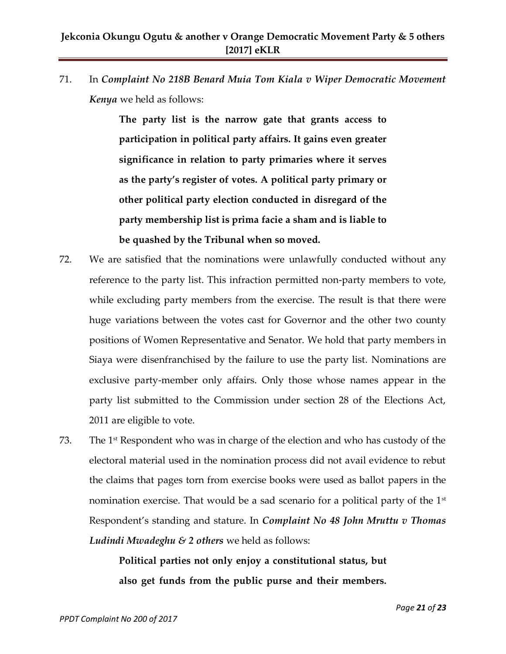71. In *Complaint No 218B Benard Muia Tom Kiala v Wiper Democratic Movement Kenya* we held as follows:

> **The party list is the narrow gate that grants access to participation in political party affairs. It gains even greater significance in relation to party primaries where it serves as the party's register of votes. A political party primary or other political party election conducted in disregard of the party membership list is prima facie a sham and is liable to be quashed by the Tribunal when so moved.**

- 72. We are satisfied that the nominations were unlawfully conducted without any reference to the party list. This infraction permitted non-party members to vote, while excluding party members from the exercise. The result is that there were huge variations between the votes cast for Governor and the other two county positions of Women Representative and Senator. We hold that party members in Siaya were disenfranchised by the failure to use the party list. Nominations are exclusive party-member only affairs. Only those whose names appear in the party list submitted to the Commission under section 28 of the Elections Act, 2011 are eligible to vote.
- 73. The 1st Respondent who was in charge of the election and who has custody of the electoral material used in the nomination process did not avail evidence to rebut the claims that pages torn from exercise books were used as ballot papers in the nomination exercise. That would be a sad scenario for a political party of the  $1<sup>st</sup>$ Respondent's standing and stature. In *Complaint No 48 John Mruttu v Thomas Ludindi Mwadeghu & 2 others* we held as follows:

**Political parties not only enjoy a constitutional status, but also get funds from the public purse and their members.**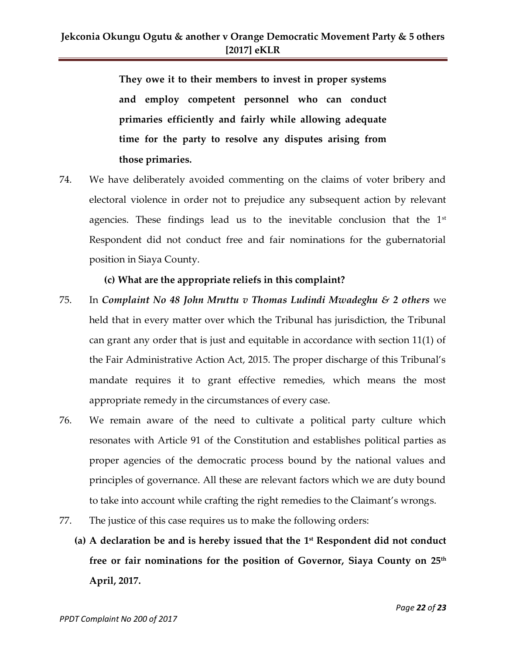**They owe it to their members to invest in proper systems and employ competent personnel who can conduct primaries efficiently and fairly while allowing adequate time for the party to resolve any disputes arising from those primaries.**

74. We have deliberately avoided commenting on the claims of voter bribery and electoral violence in order not to prejudice any subsequent action by relevant agencies. These findings lead us to the inevitable conclusion that the  $1<sup>st</sup>$ Respondent did not conduct free and fair nominations for the gubernatorial position in Siaya County.

#### **(c) What are the appropriate reliefs in this complaint?**

- 75. In *Complaint No 48 John Mruttu v Thomas Ludindi Mwadeghu & 2 others* we held that in every matter over which the Tribunal has jurisdiction, the Tribunal can grant any order that is just and equitable in accordance with section 11(1) of the Fair Administrative Action Act, 2015. The proper discharge of this Tribunal's mandate requires it to grant effective remedies, which means the most appropriate remedy in the circumstances of every case.
- 76. We remain aware of the need to cultivate a political party culture which resonates with Article 91 of the Constitution and establishes political parties as proper agencies of the democratic process bound by the national values and principles of governance. All these are relevant factors which we are duty bound to take into account while crafting the right remedies to the Claimant's wrongs.
- 77. The justice of this case requires us to make the following orders:
	- **(a) A declaration be and is hereby issued that the 1 st Respondent did not conduct free or fair nominations for the position of Governor, Siaya County on 25th April, 2017.**